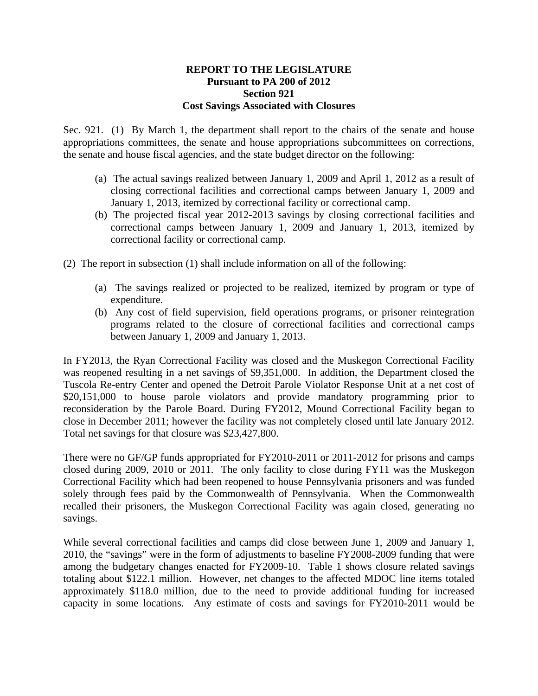## **REPORT TO THE LEGISLATURE Pursuant to PA 200 of 2012 Section 921 Cost Savings Associated with Closures**

Sec. 921. (1) By March 1, the department shall report to the chairs of the senate and house appropriations committees, the senate and house appropriations subcommittees on corrections, the senate and house fiscal agencies, and the state budget director on the following:

- (a) The actual savings realized between January 1, 2009 and April 1, 2012 as a result of closing correctional facilities and correctional camps between January 1, 2009 and January 1, 2013, itemized by correctional facility or correctional camp.
- (b) The projected fiscal year 2012-2013 savings by closing correctional facilities and correctional camps between January 1, 2009 and January 1, 2013, itemized by correctional facility or correctional camp.
- (2) The report in subsection (1) shall include information on all of the following:
	- (a) The savings realized or projected to be realized, itemized by program or type of expenditure.
	- (b) Any cost of field supervision, field operations programs, or prisoner reintegration programs related to the closure of correctional facilities and correctional camps between January 1, 2009 and January 1, 2013.

In FY2013, the Ryan Correctional Facility was closed and the Muskegon Correctional Facility was reopened resulting in a net savings of \$9,351,000. In addition, the Department closed the Tuscola Re-entry Center and opened the Detroit Parole Violator Response Unit at a net cost of \$20,151,000 to house parole violators and provide mandatory programming prior to reconsideration by the Parole Board. During FY2012, Mound Correctional Facility began to close in December 2011; however the facility was not completely closed until late January 2012. Total net savings for that closure was \$23,427,800.

There were no GF/GP funds appropriated for FY2010-2011 or 2011-2012 for prisons and camps closed during 2009, 2010 or 2011. The only facility to close during FY11 was the Muskegon Correctional Facility which had been reopened to house Pennsylvania prisoners and was funded solely through fees paid by the Commonwealth of Pennsylvania. When the Commonwealth recalled their prisoners, the Muskegon Correctional Facility was again closed, generating no savings.

While several correctional facilities and camps did close between June 1, 2009 and January 1, 2010, the "savings" were in the form of adjustments to baseline FY2008-2009 funding that were among the budgetary changes enacted for FY2009-10. Table 1 shows closure related savings totaling about \$122.1 million. However, net changes to the affected MDOC line items totaled approximately \$118.0 million, due to the need to provide additional funding for increased capacity in some locations. Any estimate of costs and savings for FY2010-2011 would be